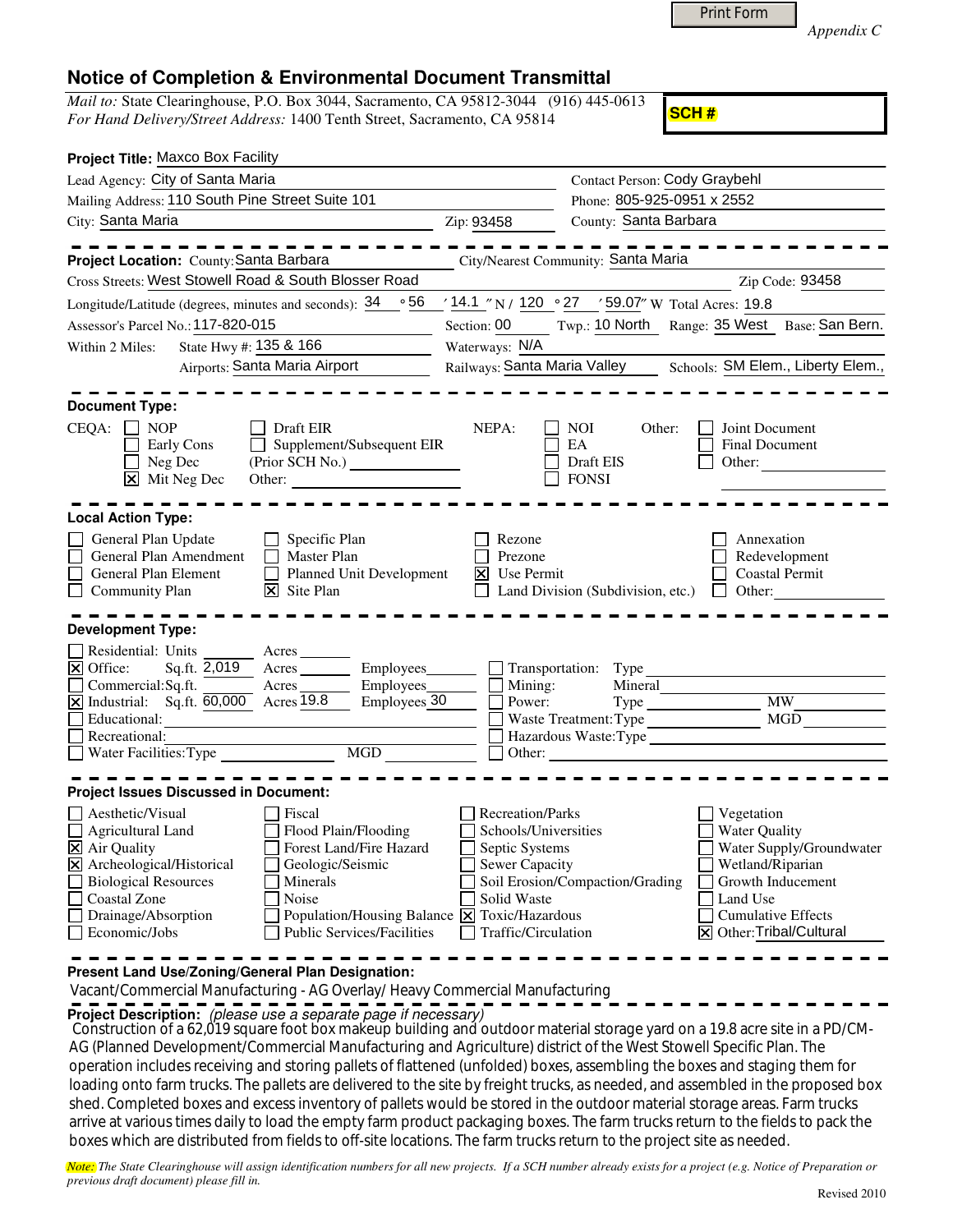| <b>Print Form</b> |
|-------------------|
|                   |

*Appendix C* 

## **Notice of Completion & Environmental Document Transmittal**

*Mail to:* State Clearinghouse, P.O. Box 3044, Sacramento, CA 95812-3044 (916) 445-0613 *For Hand Delivery/Street Address:* 1400 Tenth Street, Sacramento, CA 95814

**SCH #**

| Project Title: Maxco Box Facility                                                                               |                                              |                                          |                                                   |                                               |
|-----------------------------------------------------------------------------------------------------------------|----------------------------------------------|------------------------------------------|---------------------------------------------------|-----------------------------------------------|
| Lead Agency: City of Santa Maria                                                                                |                                              |                                          | Contact Person: Cody Graybehl                     |                                               |
| Mailing Address: 110 South Pine Street Suite 101                                                                |                                              |                                          | Phone: 805-925-0951 x 2552                        |                                               |
| City: Santa Maria                                                                                               |                                              | Zip: 93458                               | County: Santa Barbara                             |                                               |
|                                                                                                                 |                                              |                                          |                                                   |                                               |
| Project Location: County: Santa Barbara<br>Cross Streets: West Stowell Road & South Blosser Road                |                                              | City/Nearest Community: Santa Maria      |                                                   | Zip Code: 93458                               |
|                                                                                                                 |                                              |                                          |                                                   |                                               |
| Longitude/Latitude (degrees, minutes and seconds): $34 \cdot 56$                                                |                                              |                                          | ' 14.1 "N / 120 ° 27 ' 59.07" W Total Acres: 19.8 |                                               |
| Assessor's Parcel No.: 117-820-015                                                                              |                                              | Section: 00                              |                                                   | Twp.: 10 North Range: 35 West Base: San Bern. |
| State Hwy #: 135 & 166<br>Within 2 Miles:                                                                       |                                              | Waterways: N/A                           |                                                   |                                               |
| Airports: Santa Maria Airport                                                                                   |                                              | Railways: Santa Maria Valley             |                                                   | Schools: SM Elem., Liberty Elem.,             |
|                                                                                                                 |                                              |                                          |                                                   |                                               |
| <b>Document Type:</b>                                                                                           |                                              |                                          |                                                   |                                               |
| $CEQA: \Box NP$<br>$\Box$ Draft EIR<br>Early Cons                                                               | Supplement/Subsequent EIR                    | NEPA:<br>$\blacksquare$ NOI<br>$\Box$ EA | Other:                                            | <b>Joint Document</b><br>П<br>Final Document  |
| $\Box$ Neg Dec                                                                                                  | (Prior SCH No.)                              |                                          | $\Box$ Draft EIS                                  | Other:                                        |
| $\boxed{\mathsf{X}}$ Mit Neg Dec<br>Other:                                                                      |                                              |                                          | $\Box$ FONSI                                      |                                               |
|                                                                                                                 |                                              |                                          |                                                   |                                               |
| <b>Local Action Type:</b>                                                                                       |                                              |                                          |                                                   |                                               |
| General Plan Update                                                                                             | $\Box$ Specific Plan                         | $\Box$ Rezone                            |                                                   | Annexation                                    |
| General Plan Amendment                                                                                          | $\Box$ Master Plan                           | $\Box$ Prezone                           |                                                   | Redevelopment                                 |
| General Plan Element                                                                                            | $\Box$ Planned Unit Development              | $\boxtimes$ Use Permit                   |                                                   | $\Box$<br><b>Coastal Permit</b>               |
| Community Plan                                                                                                  | $\overline{\mathsf{x}}$ Site Plan            |                                          | Land Division (Subdivision, etc.)                 | $\Box$ Other:                                 |
|                                                                                                                 |                                              |                                          |                                                   |                                               |
| <b>Development Type:</b>                                                                                        |                                              |                                          |                                                   |                                               |
| Residential: Units<br>Acres                                                                                     |                                              |                                          |                                                   |                                               |
| $\Xi$ Office:<br>Sq.ft. 2,019<br>Acres                                                                          | Employees_                                   | Transportation: Type                     |                                                   |                                               |
| $\Box$ Commercial: Sq.ft.<br>Acres<br>$\overline{\mathbf{X}}$ Industrial: Sq.ft. $\overline{60,000}$ Acres 19.8 | Employees<br>Employees 30                    | $\Box$ Mining:<br>Power:                 | Mineral<br>Type $\overline{\phantom{a}}$          | <b>MW</b>                                     |
| Educational:                                                                                                    |                                              |                                          | Waste Treatment: Type                             | MGD                                           |
| $\Box$ Recreational:                                                                                            |                                              |                                          | Hazardous Waste: Type                             |                                               |
| $\Box$ Water Facilities: Type                                                                                   | <b>MGD</b>                                   | $\Box$ Other:                            |                                                   |                                               |
|                                                                                                                 |                                              |                                          |                                                   |                                               |
| <b>Project Issues Discussed in Document:</b>                                                                    |                                              |                                          |                                                   |                                               |
| $\Box$ Aesthetic/Visual<br>$\Box$ Fiscal                                                                        |                                              | Recreation/Parks                         |                                                   | $\Box$ Vegetation                             |
| $\Box$ Agricultural Land                                                                                        | Flood Plain/Flooding                         | Schools/Universities                     |                                                   | Water Quality                                 |
| X Air Quality                                                                                                   | Forest Land/Fire Hazard                      | $\Box$ Septic Systems                    |                                                   | Water Supply/Groundwater                      |
| $\overline{\mathsf{X}}$ Archeological/Historical                                                                | Geologic/Seismic                             | $\Box$ Sewer Capacity                    |                                                   | Wetland/Riparian                              |
| Biological Resources<br>□ Coastal Zone<br>$\Box$ Noise                                                          | <b>Minerals</b>                              | Solid Waste                              | Soil Erosion/Compaction/Grading                   | Growth Inducement<br>Land Use                 |
| $\Box$ Drainage/Absorption                                                                                      | Population/Housing Balance X Toxic/Hazardous |                                          |                                                   | $\Box$ Cumulative Effects                     |
| $\Box$ Economic/Jobs                                                                                            | Public Services/Facilities                   | $\Box$ Traffic/Circulation               |                                                   | $\boxtimes$ Other: Tribal/Cultural            |
|                                                                                                                 |                                              |                                          |                                                   |                                               |

**Present Land Use/Zoning/General Plan Designation:**

Vacant/Commercial Manufacturing - AG Overlay/ Heavy Commercial Manufacturing

**Project Description:** (please use a separate page if necessary)

Construction of a 62,019 square foot box makeup building and outdoor material storage yard on a 19.8 acre site in a PD/CM-<br>A C (Planned Davelaument Communication of the production of the United States Marti Changles of the AG (Planned Development/Commercial Manufacturing and Agriculture) district of the West Stowell Specific Plan. The operation includes receiving and storing pallets of flattened (unfolded) boxes, assembling the boxes and staging them for loading onto farm trucks. The pallets are delivered to the site by freight trucks, as needed, and assembled in the proposed box shed. Completed boxes and excess inventory of pallets would be stored in the outdoor material storage areas. Farm trucks arrive at various times daily to load the empty farm product packaging boxes. The farm trucks return to the fields to pack the boxes which are distributed from fields to off-site locations. The farm trucks return to the project site as needed.

*Note: The State Clearinghouse will assign identification numbers for all new projects. If a SCH number already exists for a project (e.g. Notice of Preparation or previous draft document) please fill in.*